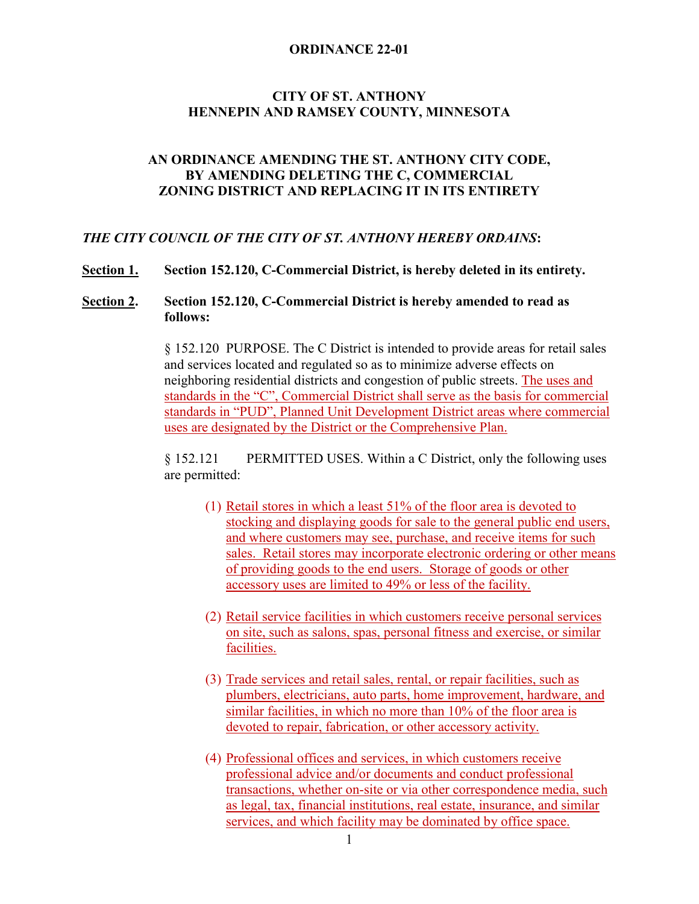## **CITY OF ST. ANTHONY HENNEPIN AND RAMSEY COUNTY, MINNESOTA**

### **AN ORDINANCE AMENDING THE ST. ANTHONY CITY CODE, BY AMENDING DELETING THE C, COMMERCIAL ZONING DISTRICT AND REPLACING IT IN ITS ENTIRETY**

### *THE CITY COUNCIL OF THE CITY OF ST. ANTHONY HEREBY ORDAINS***:**

**Section 1. Section 152.120, C-Commercial District, is hereby deleted in its entirety.**

## **Section 2. Section 152.120, C-Commercial District is hereby amended to read as follows:**

§ 152.120 PURPOSE. The C District is intended to provide areas for retail sales and services located and regulated so as to minimize adverse effects on neighboring residential districts and congestion of public streets. The uses and standards in the "C", Commercial District shall serve as the basis for commercial standards in "PUD", Planned Unit Development District areas where commercial uses are designated by the District or the Comprehensive Plan.

§ 152.121 PERMITTED USES. Within a C District, only the following uses are permitted:

- (1) Retail stores in which a least 51% of the floor area is devoted to stocking and displaying goods for sale to the general public end users, and where customers may see, purchase, and receive items for such sales. Retail stores may incorporate electronic ordering or other means of providing goods to the end users. Storage of goods or other accessory uses are limited to 49% or less of the facility.
- (2) Retail service facilities in which customers receive personal services on site, such as salons, spas, personal fitness and exercise, or similar facilities.
- (3) Trade services and retail sales, rental, or repair facilities, such as plumbers, electricians, auto parts, home improvement, hardware, and similar facilities, in which no more than 10% of the floor area is devoted to repair, fabrication, or other accessory activity.
- (4) Professional offices and services, in which customers receive professional advice and/or documents and conduct professional transactions, whether on-site or via other correspondence media, such as legal, tax, financial institutions, real estate, insurance, and similar services, and which facility may be dominated by office space.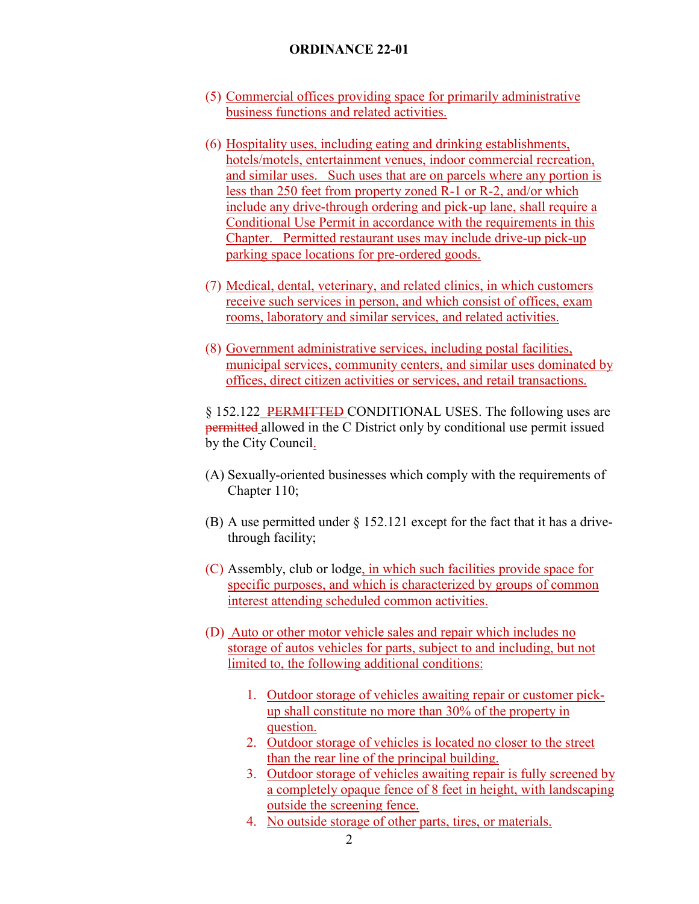- (5) Commercial offices providing space for primarily administrative business functions and related activities.
- (6) Hospitality uses, including eating and drinking establishments, hotels/motels, entertainment venues, indoor commercial recreation, and similar uses. Such uses that are on parcels where any portion is less than 250 feet from property zoned R-1 or R-2, and/or which include any drive-through ordering and pick-up lane, shall require a Conditional Use Permit in accordance with the requirements in this Chapter. Permitted restaurant uses may include drive-up pick-up parking space locations for pre-ordered goods.
- (7) Medical, dental, veterinary, and related clinics, in which customers receive such services in person, and which consist of offices, exam rooms, laboratory and similar services, and related activities.
- (8) Government administrative services, including postal facilities, municipal services, community centers, and similar uses dominated by offices, direct citizen activities or services, and retail transactions.

§ 152.122 PERMITTED CONDITIONAL USES. The following uses are permitted allowed in the C District only by conditional use permit issued by the City Council.

- (A) Sexually-oriented businesses which comply with the requirements of Chapter 110;
- (B) A use permitted under § 152.121 except for the fact that it has a drivethrough facility;
- (C) Assembly, club or lodge, in which such facilities provide space for specific purposes, and which is characterized by groups of common interest attending scheduled common activities.
- (D) Auto or other motor vehicle sales and repair which includes no storage of autos vehicles for parts, subject to and including, but not limited to, the following additional conditions:
	- 1. Outdoor storage of vehicles awaiting repair or customer pickup shall constitute no more than 30% of the property in question.
	- 2. Outdoor storage of vehicles is located no closer to the street than the rear line of the principal building.
	- 3. Outdoor storage of vehicles awaiting repair is fully screened by a completely opaque fence of 8 feet in height, with landscaping outside the screening fence.
	- 4. No outside storage of other parts, tires, or materials.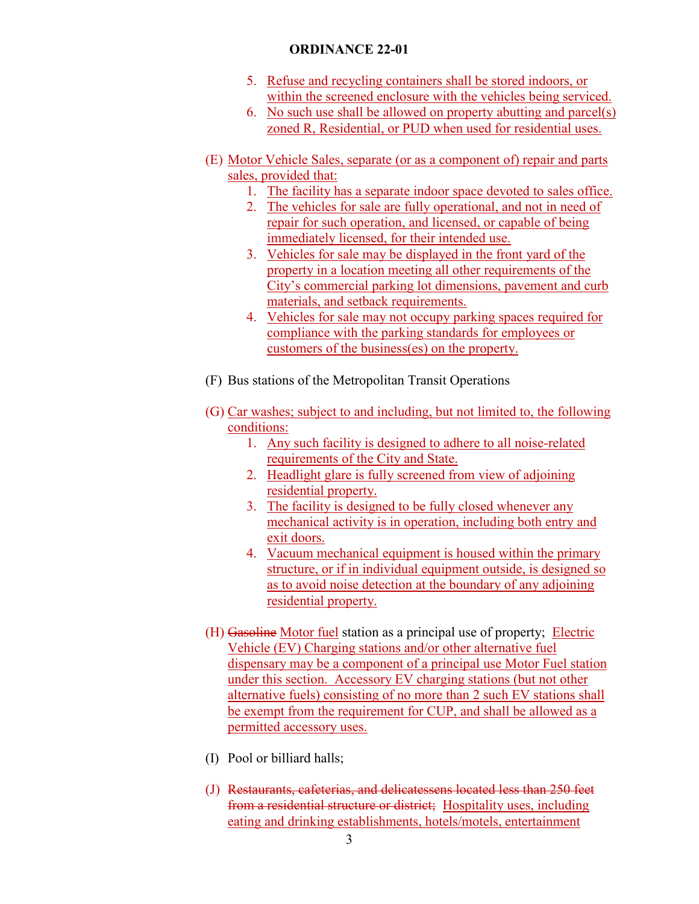- 5. Refuse and recycling containers shall be stored indoors, or within the screened enclosure with the vehicles being serviced.
- 6. No such use shall be allowed on property abutting and parcel(s) zoned R, Residential, or PUD when used for residential uses.
- (E) Motor Vehicle Sales, separate (or as a component of) repair and parts sales, provided that:
	- 1. The facility has a separate indoor space devoted to sales office.
	- 2. The vehicles for sale are fully operational, and not in need of repair for such operation, and licensed, or capable of being immediately licensed, for their intended use.
	- 3. Vehicles for sale may be displayed in the front yard of the property in a location meeting all other requirements of the City's commercial parking lot dimensions, pavement and curb materials, and setback requirements.
	- 4. Vehicles for sale may not occupy parking spaces required for compliance with the parking standards for employees or customers of the business(es) on the property.
- (F) Bus stations of the Metropolitan Transit Operations
- (G) Car washes; subject to and including, but not limited to, the following conditions:
	- 1. Any such facility is designed to adhere to all noise-related requirements of the City and State.
	- 2. Headlight glare is fully screened from view of adjoining residential property.
	- 3. The facility is designed to be fully closed whenever any mechanical activity is in operation, including both entry and exit doors.
	- 4. Vacuum mechanical equipment is housed within the primary structure, or if in individual equipment outside, is designed so as to avoid noise detection at the boundary of any adjoining residential property.
- (H) Gasoline Motor fuel station as a principal use of property; Electric Vehicle (EV) Charging stations and/or other alternative fuel dispensary may be a component of a principal use Motor Fuel station under this section. Accessory EV charging stations (but not other alternative fuels) consisting of no more than 2 such EV stations shall be exempt from the requirement for CUP, and shall be allowed as a permitted accessory uses.
- (I) Pool or billiard halls;
- (J) Restaurants, cafeterias, and delicatessens located less than 250 feet from a residential structure or district; Hospitality uses, including eating and drinking establishments, hotels/motels, entertainment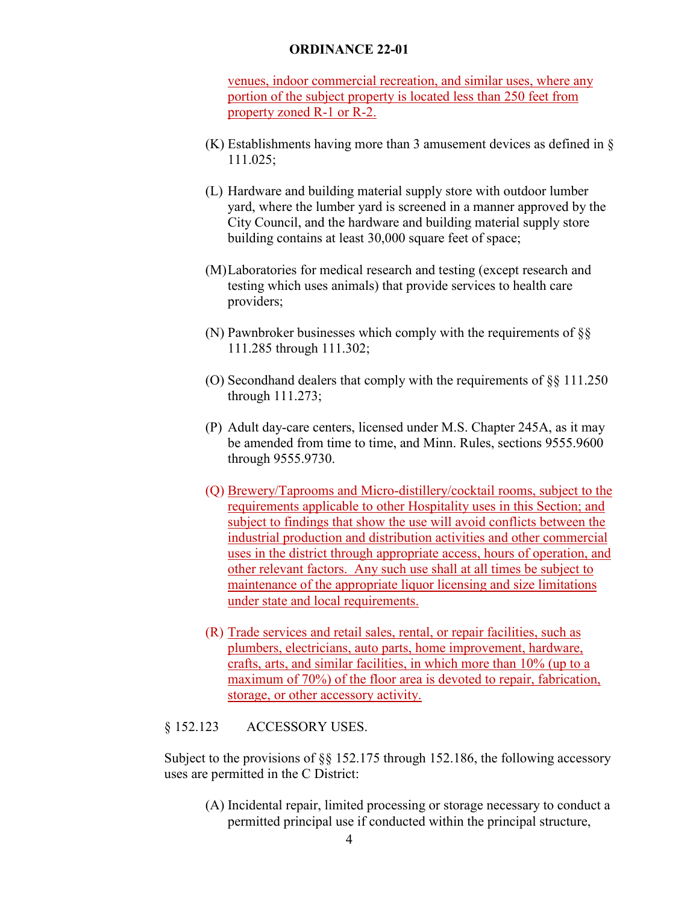venues, indoor commercial recreation, and similar uses, where any portion of the subject property is located less than 250 feet from property zoned R-1 or R-2.

- (K) Establishments having more than 3 amusement devices as defined in § 111.025;
- (L) Hardware and building material supply store with outdoor lumber yard, where the lumber yard is screened in a manner approved by the City Council, and the hardware and building material supply store building contains at least 30,000 square feet of space;
- (M)Laboratories for medical research and testing (except research and testing which uses animals) that provide services to health care providers;
- (N) Pawnbroker businesses which comply with the requirements of §§ 111.285 through 111.302;
- (O) Secondhand dealers that comply with the requirements of §§ 111.250 through 111.273;
- (P) Adult day-care centers, licensed under M.S. Chapter 245A, as it may be amended from time to time, and Minn. Rules, sections 9555.9600 through 9555.9730.
- (Q) Brewery/Taprooms and Micro-distillery/cocktail rooms, subject to the requirements applicable to other Hospitality uses in this Section; and subject to findings that show the use will avoid conflicts between the industrial production and distribution activities and other commercial uses in the district through appropriate access, hours of operation, and other relevant factors. Any such use shall at all times be subject to maintenance of the appropriate liquor licensing and size limitations under state and local requirements.
- (R) Trade services and retail sales, rental, or repair facilities, such as plumbers, electricians, auto parts, home improvement, hardware, crafts, arts, and similar facilities, in which more than 10% (up to a maximum of 70%) of the floor area is devoted to repair, fabrication, storage, or other accessory activity.

#### § 152.123 ACCESSORY USES.

Subject to the provisions of §§ 152.175 through 152.186, the following accessory uses are permitted in the C District:

(A) Incidental repair, limited processing or storage necessary to conduct a permitted principal use if conducted within the principal structure,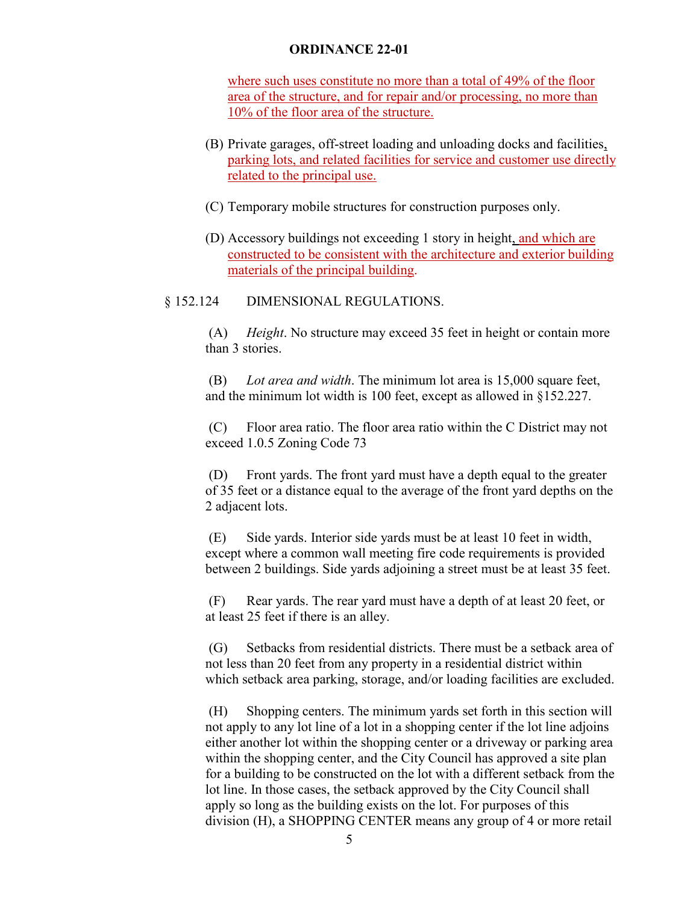where such uses constitute no more than a total of 49% of the floor area of the structure, and for repair and/or processing, no more than 10% of the floor area of the structure.

- (B) Private garages, off-street loading and unloading docks and facilities, parking lots, and related facilities for service and customer use directly related to the principal use.
- (C) Temporary mobile structures for construction purposes only.
- (D) Accessory buildings not exceeding 1 story in height, and which are constructed to be consistent with the architecture and exterior building materials of the principal building.

### § 152.124 DIMENSIONAL REGULATIONS.

(A) *Height*. No structure may exceed 35 feet in height or contain more than 3 stories.

(B) *Lot area and width*. The minimum lot area is 15,000 square feet, and the minimum lot width is 100 feet, except as allowed in §152.227.

(C) Floor area ratio. The floor area ratio within the C District may not exceed 1.0.5 Zoning Code 73

(D) Front yards. The front yard must have a depth equal to the greater of 35 feet or a distance equal to the average of the front yard depths on the 2 adjacent lots.

(E) Side yards. Interior side yards must be at least 10 feet in width, except where a common wall meeting fire code requirements is provided between 2 buildings. Side yards adjoining a street must be at least 35 feet.

(F) Rear yards. The rear yard must have a depth of at least 20 feet, or at least 25 feet if there is an alley.

(G) Setbacks from residential districts. There must be a setback area of not less than 20 feet from any property in a residential district within which setback area parking, storage, and/or loading facilities are excluded.

(H) Shopping centers. The minimum yards set forth in this section will not apply to any lot line of a lot in a shopping center if the lot line adjoins either another lot within the shopping center or a driveway or parking area within the shopping center, and the City Council has approved a site plan for a building to be constructed on the lot with a different setback from the lot line. In those cases, the setback approved by the City Council shall apply so long as the building exists on the lot. For purposes of this division (H), a SHOPPING CENTER means any group of 4 or more retail